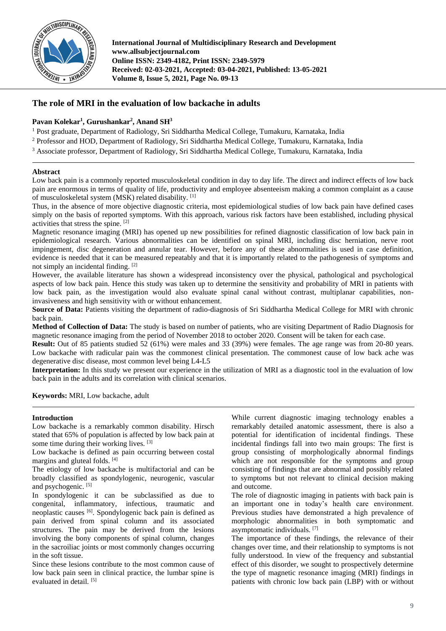

**International Journal of Multidisciplinary Research and Development www.allsubjectjournal.com Online ISSN: 2349-4182, Print ISSN: 2349-5979 Received: 02-03-2021, Accepted: 03-04-2021, Published: 13-05-2021 Volume 8, Issue 5, 2021, Page No. 09-13**

# **The role of MRI in the evaluation of low backache in adults**

# **Pavan Kolekar<sup>1</sup> , Gurushankar<sup>2</sup> , Anand SH<sup>3</sup>**

<sup>1</sup> Post graduate, Department of Radiology, Sri Siddhartha Medical College, Tumakuru, Karnataka, India

<sup>2</sup> Professor and HOD, Department of Radiology, Sri Siddhartha Medical College, Tumakuru, Karnataka, India

<sup>3</sup> Associate professor, Department of Radiology, Sri Siddhartha Medical College, Tumakuru, Karnataka, India

# **Abstract**

Low back pain is a commonly reported musculoskeletal condition in day to day life. The direct and indirect effects of low back pain are enormous in terms of quality of life, productivity and employee absenteeism making a common complaint as a cause of musculoskeletal system (MSK) related disability. [1]

Thus, in the absence of more objective diagnostic criteria, most epidemiological studies of low back pain have defined cases simply on the basis of reported symptoms. With this approach, various risk factors have been established, including physical activities that stress the spine. [2]

Magnetic resonance imaging (MRI) has opened up new possibilities for refined diagnostic classification of low back pain in epidemiological research. Various abnormalities can be identified on spinal MRI, including disc herniation, nerve root impingement, disc degeneration and annular tear. However, before any of these abnormalities is used in case definition, evidence is needed that it can be measured repeatably and that it is importantly related to the pathogenesis of symptoms and not simply an incidental finding. [2]

However, the available literature has shown a widespread inconsistency over the physical, pathological and psychological aspects of low back pain. Hence this study was taken up to determine the sensitivity and probability of MRI in patients with low back pain, as the investigation would also evaluate spinal canal without contrast, multiplanar capabilities, noninvasiveness and high sensitivity with or without enhancement.

**Source of Data:** Patients visiting the department of radio-diagnosis of Sri Siddhartha Medical College for MRI with chronic back pain.

**Method of Collection of Data:** The study is based on number of patients, who are visiting Department of Radio Diagnosis for magnetic resonance imaging from the period of November 2018 to october 2020. Consent will be taken for each case.

**Result:** Out of 85 patients studied 52 (61%) were males and 33 (39%) were females. The age range was from 20-80 years. Low backache with radicular pain was the commonest clinical presentation. The commonest cause of low back ache was degenerative disc disease, most common level being L4-L5

**Interpretation:** In this study we present our experience in the utilization of MRI as a diagnostic tool in the evaluation of low back pain in the adults and its correlation with clinical scenarios.

**Keywords:** MRI, Low backache, adult

# **Introduction**

Low backache is a remarkably common disability. Hirsch stated that 65% of population is affected by low back pain at some time during their working lives. <sup>[3]</sup>

Low backache is defined as pain occurring between costal margins and gluteal folds. [4]

The etiology of low backache is multifactorial and can be broadly classified as spondylogenic, neurogenic, vascular and psychogenic.<sup>[5]</sup>

In spondylogenic it can be subclassified as due to congenital, inflammatory, infectious, traumatic and neoplastic causes [6]. Spondylogenic back pain is defined as pain derived from spinal column and its associated structures. The pain may be derived from the lesions involving the bony components of spinal column, changes in the sacroiliac joints or most commonly changes occurring in the soft tissue.

Since these lesions contribute to the most common cause of low back pain seen in clinical practice, the lumbar spine is evaluated in detail.<sup>[5]</sup>

While current diagnostic imaging technology enables a remarkably detailed anatomic assessment, there is also a potential for identification of incidental findings. These incidental findings fall into two main groups: The first is group consisting of morphologically abnormal findings which are not responsible for the symptoms and group consisting of findings that are abnormal and possibly related to symptoms but not relevant to clinical decision making and outcome.

The role of diagnostic imaging in patients with back pain is an important one in today's health care environment. Previous studies have demonstrated a high prevalence of morphologic abnormalities in both symptomatic and asymptomatic individuals. [7]

The importance of these findings, the relevance of their changes over time, and their relationship to symptoms is not fully understood. In view of the frequency and substantial effect of this disorder, we sought to prospectively determine the type of magnetic resonance imaging (MRI) findings in patients with chronic low back pain (LBP) with or without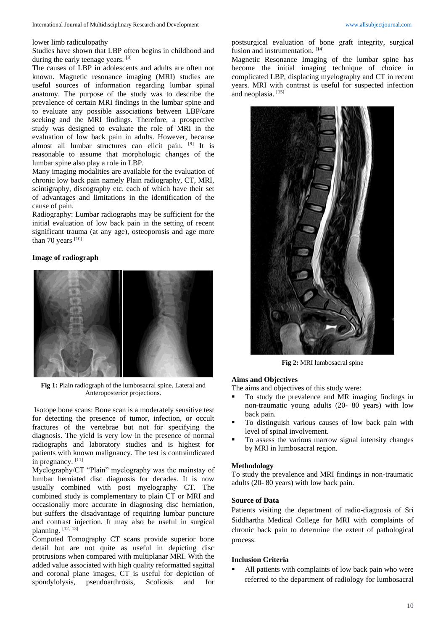#### lower limb radiculopathy

Studies have shown that LBP often begins in childhood and during the early teenage years. [8]

The causes of LBP in adolescents and adults are often not known. Magnetic resonance imaging (MRI) studies are useful sources of information regarding lumbar spinal anatomy. The purpose of the study was to describe the prevalence of certain MRI findings in the lumbar spine and to evaluate any possible associations between LBP/care seeking and the MRI findings. Therefore, a prospective study was designed to evaluate the role of MRI in the evaluation of low back pain in adults. However, because almost all lumbar structures can elicit pain. [9] It is reasonable to assume that morphologic changes of the lumbar spine also play a role in LBP.

Many imaging modalities are available for the evaluation of chronic low back pain namely Plain radiography, CT, MRI, scintigraphy, discography etc. each of which have their set of advantages and limitations in the identification of the cause of pain.

Radiography: Lumbar radiographs may be sufficient for the initial evaluation of low back pain in the setting of recent significant trauma (at any age), osteoporosis and age more than 70 years [10]

# **Image of radiograph**



**Fig 1:** Plain radiograph of the lumbosacral spine. Lateral and Anteroposterior projections.

Isotope bone scans: Bone scan is a moderately sensitive test for detecting the presence of tumor, infection, or occult fractures of the vertebrae but not for specifying the diagnosis. The yield is very low in the presence of normal radiographs and laboratory studies and is highest for patients with known malignancy. The test is contraindicated in pregnancy. [11]

Myelography/CT "Plain" myelography was the mainstay of lumbar herniated disc diagnosis for decades. It is now usually combined with post myelography CT. The combined study is complementary to plain CT or MRI and occasionally more accurate in diagnosing disc herniation, but suffers the disadvantage of requiring lumbar puncture and contrast injection. It may also be useful in surgical planning.  $[12, 13]$ 

Computed Tomography CT scans provide superior bone detail but are not quite as useful in depicting disc protrusions when compared with multiplanar MRI. With the added value associated with high quality reformatted sagittal and coronal plane images, CT is useful for depiction of spondylolysis, pseudoarthrosis, Scoliosis and for

postsurgical evaluation of bone graft integrity, surgical fusion and instrumentation. [14]

Magnetic Resonance Imaging of the lumbar spine has become the initial imaging technique of choice in complicated LBP, displacing myelography and CT in recent years. MRI with contrast is useful for suspected infection and neoplasia. [15]



**Fig 2:** MRI lumbosacral spine

#### **Aims and Objectives**

The aims and objectives of this study were:

- To study the prevalence and MR imaging findings in non-traumatic young adults (20- 80 years) with low back pain.
- To distinguish various causes of low back pain with level of spinal involvement.
- To assess the various marrow signal intensity changes by MRI in lumbosacral region.

### **Methodology**

To study the prevalence and MRI findings in non-traumatic adults (20- 80 years) with low back pain.

### **Source of Data**

Patients visiting the department of radio-diagnosis of Sri Siddhartha Medical College for MRI with complaints of chronic back pain to determine the extent of pathological process.

#### **Inclusion Criteria**

 All patients with complaints of low back pain who were referred to the department of radiology for lumbosacral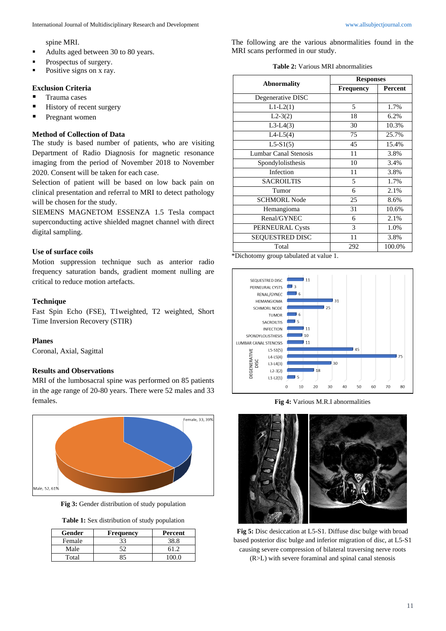#### spine MRI.

- Adults aged between 30 to 80 years.
- Prospectus of surgery.
- Positive signs on x ray.

# **Exclusion Criteria**

- Trauma cases
- History of recent surgery
- **Pregnant women**

### **Method of Collection of Data**

The study is based number of patients, who are visiting Department of Radio Diagnosis for magnetic resonance imaging from the period of November 2018 to November 2020. Consent will be taken for each case.

Selection of patient will be based on low back pain on clinical presentation and referral to MRI to detect pathology will be chosen for the study.

SIEMENS MAGNETOM ESSENZA 1.5 Tesla compact superconducting active shielded magnet channel with direct digital sampling.

# **Use of surface coils**

Motion suppression technique such as anterior radio frequency saturation bands, gradient moment nulling are critical to reduce motion artefacts.

# **Technique**

Fast Spin Echo (FSE), T1weighted, T2 weighted, Short Time Inversion Recovery (STIR)

### **Planes**

Coronal, Axial, Sagittal

# **Results and Observations**

MRI of the lumbosacral spine was performed on 85 patients in the age range of 20-80 years. There were 52 males and 33 females.



**Fig 3:** Gender distribution of study population

**Table 1:** Sex distribution of study population

| Gender | <b>Frequency</b> | Percent |
|--------|------------------|---------|
| Female | 33               | 38.8    |
| Male   |                  | 61 J    |
| Total  |                  |         |

The following are the various abnormalities found in the MRI scans performed in our study.

**Table 2:** Various MRI abnormalities

|                              | <b>Responses</b> |         |
|------------------------------|------------------|---------|
| <b>Abnormality</b>           | <b>Frequency</b> | Percent |
| Degenerative DISC            |                  |         |
| $L1-L2(1)$                   | 5                | 1.7%    |
| $L2-3(2)$                    | 18               | 6.2%    |
| $L3-L4(3)$                   | 30               | 10.3%   |
| $L4-L5(4)$                   | 75               | 25.7%   |
| $L5-S1(5)$                   | 45               | 15.4%   |
| <b>Lumbar Canal Stenosis</b> | 11               | 3.8%    |
| Spondylolisthesis            | 10               | 3.4%    |
| Infection                    | 11               | 3.8%    |
| <b>SACROILTIS</b>            | 5                | 1.7%    |
| Tumor                        | 6                | 2.1%    |
| <b>SCHMORL Node</b>          | 25               | 8.6%    |
| Hemangioma                   | 31               | 10.6%   |
| Renal/GYNEC                  | 6                | 2.1%    |
| PERNEURAL Cysts              | 3                | 1.0%    |
| <b>SEQUESTRED DISC</b>       | 11               | 3.8%    |
| Total                        | 292              | 100.0%  |

\*Dichotomy group tabulated at value 1.



**Fig 4:** Various M.R.I abnormalities



**Fig 5:** Disc desiccation at L5-S1. Diffuse disc bulge with broad based posterior disc bulge and inferior migration of disc, at L5-S1 causing severe compression of bilateral traversing nerve roots (R>L) with severe foraminal and spinal canal stenosis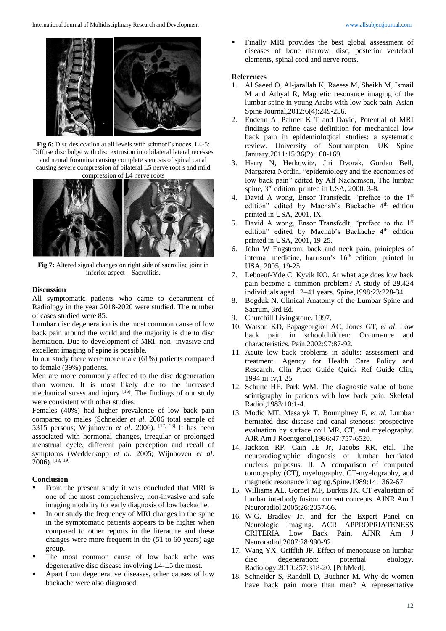

Fig 6: Disc desiccation at all levels with schmorl's nodes. L4-5: Diffuse disc bulge with disc extrusion into bilateral lateral recesses and neural foramina causing complete stenosis of spinal canal causing severe compression of bilateral L5 nerve root s and mild compression of L4 nerve roots



**Fig 7:** Altered signal changes on right side of sacroiliac joint in inferior aspect – Sacroilitis.

### **Discussion**

All symptomatic patients who came to department of Radiology in the year 2018-2020 were studied. The number of cases studied were 85.

Lumbar disc degeneration is the most common cause of low back pain around the world and the majority is due to disc herniation. Due to development of MRI, non- invasive and excellent imaging of spine is possible.

In our study there were more male (61%) patients compared to female (39%) patients.

Men are more commonly affected to the disc degeneration than women. It is most likely due to the increased mechanical stress and injury  $[16]$ . The findings of our study were consistent with other studies.

Females (40%) had higher prevalence of low back pain compared to males (Schneider *et al*. 2006 total sample of 5315 persons; Wijnhoven *et al*. 2006). [17, 18] It has been associated with hormonal changes, irregular or prolonged menstrual cycle, different pain perception and recall of symptoms (Wedderkopp *et al*. 2005; Wijnhoven *et al*. 2006). [18, 19]

### **Conclusion**

- From the present study it was concluded that MRI is one of the most comprehensive, non-invasive and safe imaging modality for early diagnosis of low backache.
- In our study the frequency of MRI changes in the spine in the symptomatic patients appears to be higher when compared to other reports in the literature and these changes were more frequent in the (51 to 60 years) age group.
- The most common cause of low back ache was degenerative disc disease involving L4-L5 the most.
- Apart from degenerative diseases, other causes of low backache were also diagnosed.

 Finally MRI provides the best global assessment of diseases of bone marrow, disc, posterior vertebral elements, spinal cord and nerve roots.

#### **References**

- 1. Al Saeed O, Al-jarallah K, Raeess M, Sheikh M, Ismail M and Athyal R, Magnetic resonance imaging of the lumbar spine in young Arabs with low back pain, Asian Spine Journal,2012:6(4):249-256.
- 2. Endean A, Palmer K T and David, Potential of MRI findings to refine case definition for mechanical low back pain in epidemiological studies: a systematic review. University of Southampton, UK Spine January,2011:15:36(2):160-169.
- 3. Harry N, Herkowitz, Jiri Dvorak, Gordan Bell, Margareta Nordin. "epidemiology and the economics of low back pain" edited by Alf Nachemson, The lumbar spine, 3<sup>rd</sup> edition, printed in USA, 2000, 3-8.
- 4. David A wong, Ensor Transfedlt, "preface to the 1st edition" edited by Macnab's Backache 4<sup>th</sup> edition printed in USA, 2001, IX.
- 5. David A wong, Ensor Transfedlt, "preface to the 1st edition" edited by Macnab's Backache 4<sup>th</sup> edition printed in USA, 2001, 19-25.
- 6. John W Engstrom, back and neck pain, prinicples of internal medicine, harrison's 16<sup>th</sup> edition, printed in USA, 2005, 19-25
- 7. Leboeuf-Yde C, Kyvik KO. At what age does low back pain become a common problem? A study of 29,424 individuals aged 12–41 years. Spine,1998:23:228-34.
- 8. Bogduk N. Clinical Anatomy of the Lumbar Spine and Sacrum, 3rd Ed.
- 9. Churchill Livingstone, 1997.
- 10. Watson KD, Papageorgiou AC, Jones GT, *et al*. Low back pain in schoolchildren: Occurrence and characteristics. Pain,2002:97:87-92.
- 11. Acute low back problems in adults: assessment and treatment. Agency for Health Care Policy and Research. Clin Pract Guide Quick Ref Guide Clin, 1994;iii-iv,1-25
- 12. Schutte HE, Park WM. The diagnostic value of bone scintigraphy in patients with low back pain. Skeletal Radiol,1983:10:1-4.
- 13. Modic MT, Masaryk T, Boumphrey F, *et al*. Lumbar herniated disc disease and canal stenosis: prospective evaluation by surface coil MR, CT, and myelography. AJR Am J Roentgenol,1986:47:757-6520.
- 14. Jackson RP, Cain JE Jr, Jacobs RR, etal. The neuroradiographic diagnosis of lumbar herniated nucleus pulposus: II. A comparison of computed tomography (CT), myelography, CT-myelography, and magnetic resonance imaging.Spine,1989:14:1362-67.
- 15. Williams AL, Gornet MF, Burkus JK. CT evaluation of lumbar interbody fusion: current concepts. AJNR Am J Neuroradiol,2005;26:2057-66.
- 16. W.G. Bradley Jr. and for the Expert Panel on Neurologic Imaging. ACR APPROPRIATENESS CRITERIA Low Back Pain. AJNR Am J Neuroradiol,2007:28:990-92.
- 17. Wang YX, Griffith JF. Effect of menopause on lumbar disc degeneration: potential etiology. Radiology,2010:257:318-20. [PubMed].
- 18. Schneider S, Randoll D, Buchner M. Why do women have back pain more than men? A representative